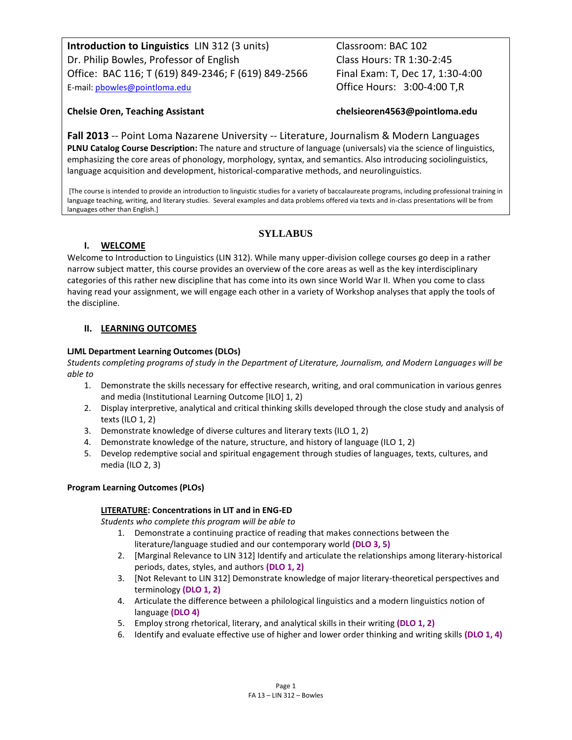**Introduction to Linguistics** LIN 312 (3 units) Classroom: BAC 102 Dr. Philip Bowles, Professor of English Class Hours: TR 1:30-2:45 Office: BAC 116; T (619) 849-2346; F (619) 849-2566 Final Exam: T, Dec 17, 1:30-4:00 E-mail: phowles@pointloma.edu **CEMENT COLOGY** Office Hours: 3:00-4:00 T,R

# **Chelsie Oren, Teaching Assistant chelsieoren4563@pointloma.edu**

**Fall 2013** -- Point Loma Nazarene University -- Literature, Journalism & Modern Languages **PLNU Catalog Course Description:** The nature and structure of language (universals) via the science of linguistics, emphasizing the core areas of phonology, morphology, syntax, and semantics. Also introducing sociolinguistics, language acquisition and development, historical-comparative methods, and neurolinguistics.

[The course is intended to provide an introduction to linguistic studies for a variety of baccalaureate programs, including professional training in language teaching, writing, and literary studies. Several examples and data problems offered via texts and in-class presentations will be from languages other than English.]

# **SYLLABUS**

# **I. WELCOME**

Welcome to Introduction to Linguistics (LIN 312). While many upper-division college courses go deep in a rather narrow subject matter, this course provides an overview of the core areas as well as the key interdisciplinary categories of this rather new discipline that has come into its own since World War II. When you come to class having read your assignment, we will engage each other in a variety of Workshop analyses that apply the tools of the discipline.

# **II. LEARNING OUTCOMES**

# **LJML Department Learning Outcomes (DLOs)**

*Students completing programs of study in the Department of Literature, Journalism, and Modern Languages will be able to*

- 1. Demonstrate the skills necessary for effective research, writing, and oral communication in various genres and media (Institutional Learning Outcome [ILO] 1, 2)
- 2. Display interpretive, analytical and critical thinking skills developed through the close study and analysis of texts (ILO 1, 2)
- 3. Demonstrate knowledge of diverse cultures and literary texts (ILO 1, 2)
- 4. Demonstrate knowledge of the nature, structure, and history of language (ILO 1, 2)
- 5. Develop redemptive social and spiritual engagement through studies of languages, texts, cultures, and media (ILO 2, 3)

## **Program Learning Outcomes (PLOs)**

## **LITERATURE: Concentrations in LIT and in ENG-ED**

*Students who complete this program will be able to*

- 1. Demonstrate a continuing practice of reading that makes connections between the literature/language studied and our contemporary world **(DLO 3, 5)**
- 2. [Marginal Relevance to LIN 312] Identify and articulate the relationships among literary-historical periods, dates, styles, and authors **(DLO 1, 2)**
- 3. [Not Relevant to LIN 312] Demonstrate knowledge of major literary-theoretical perspectives and terminology **(DLO 1, 2)**
- 4. Articulate the difference between a philological linguistics and a modern linguistics notion of language **(DLO 4)**
- 5. Employ strong rhetorical, literary, and analytical skills in their writing **(DLO 1, 2)**
- 6. Identify and evaluate effective use of higher and lower order thinking and writing skills **(DLO 1, 4)**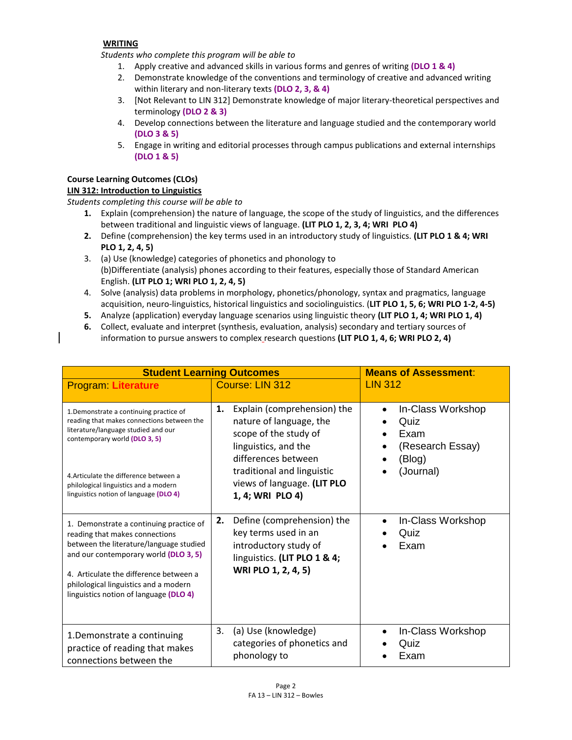## **WRITING**

*Students who complete this program will be able to* 

- 1. Apply creative and advanced skills in various forms and genres of writing **(DLO 1 & 4)**
- 2. Demonstrate knowledge of the conventions and terminology of creative and advanced writing within literary and non-literary texts **(DLO 2, 3, & 4)**
- 3. [Not Relevant to LIN 312] Demonstrate knowledge of major literary-theoretical perspectives and terminology **(DLO 2 & 3)**
- 4. Develop connections between the literature and language studied and the contemporary world **(DLO 3 & 5)**
- 5. Engage in writing and editorial processes through campus publications and external internships **(DLO 1 & 5)**

# **Course Learning Outcomes (CLOs)**

# **LIN 312: Introduction to Linguistics**

*Students completing this course will be able to*

- **1.** Explain (comprehension) the nature of language, the scope of the study of linguistics, and the differences between traditional and linguistic views of language. **(LIT PLO 1, 2, 3, 4; WRI PLO 4)**
- **2.** Define (comprehension) the key terms used in an introductory study of linguistics. **(LIT PLO 1 & 4; WRI PLO 1, 2, 4, 5)**
- 3. (a) Use (knowledge) categories of phonetics and phonology to (b)Differentiate (analysis) phones according to their features, especially those of Standard American English. **(LIT PLO 1; WRI PLO 1, 2, 4, 5)**
- 4. Solve (analysis) data problems in morphology, phonetics/phonology, syntax and pragmatics, language acquisition, neuro-linguistics, historical linguistics and sociolinguistics. (**LIT PLO 1, 5, 6; WRI PLO 1-2, 4-5)**
- **5.** Analyze (application) everyday language scenarios using linguistic theory **(LIT PLO 1, 4; WRI PLO 1, 4)**
- **6.** Collect, evaluate and interpret (synthesis, evaluation, analysis) secondary and tertiary sources of information to pursue answers to complex research questions **(LIT PLO 1, 4, 6; WRI PLO 2, 4)**

| <b>Student Learning Outcomes</b>                                                                                                                                                                                                                                                           |                                                                                                                                          | <b>Means of Assessment:</b>                                                  |
|--------------------------------------------------------------------------------------------------------------------------------------------------------------------------------------------------------------------------------------------------------------------------------------------|------------------------------------------------------------------------------------------------------------------------------------------|------------------------------------------------------------------------------|
| <b>Program: Literature</b>                                                                                                                                                                                                                                                                 | Course: LIN 312                                                                                                                          | <b>LIN 312</b>                                                               |
| 1. Demonstrate a continuing practice of<br>reading that makes connections between the<br>literature/language studied and our<br>contemporary world (DLO 3, 5)                                                                                                                              | Explain (comprehension) the<br>1.<br>nature of language, the<br>scope of the study of<br>linguistics, and the<br>differences between     | In-Class Workshop<br>$\bullet$<br>Quiz<br>Exam<br>(Research Essay)<br>(Blog) |
| 4. Articulate the difference between a<br>philological linguistics and a modern<br>linguistics notion of language (DLO 4)                                                                                                                                                                  | traditional and linguistic<br>views of language. (LIT PLO<br>1, 4; WRI PLO 4)                                                            | (Journal)                                                                    |
| 1. Demonstrate a continuing practice of<br>reading that makes connections<br>between the literature/language studied<br>and our contemporary world (DLO 3, 5)<br>4. Articulate the difference between a<br>philological linguistics and a modern<br>linguistics notion of language (DLO 4) | Define (comprehension) the<br>2.<br>key terms used in an<br>introductory study of<br>linguistics. (LIT PLO 1 & 4;<br>WRI PLO 1, 2, 4, 5) | In-Class Workshop<br>$\bullet$<br>Quiz<br>Exam                               |
| 1. Demonstrate a continuing<br>practice of reading that makes<br>connections between the                                                                                                                                                                                                   | 3.<br>(a) Use (knowledge)<br>categories of phonetics and<br>phonology to                                                                 | In-Class Workshop<br>Quiz<br>Exam                                            |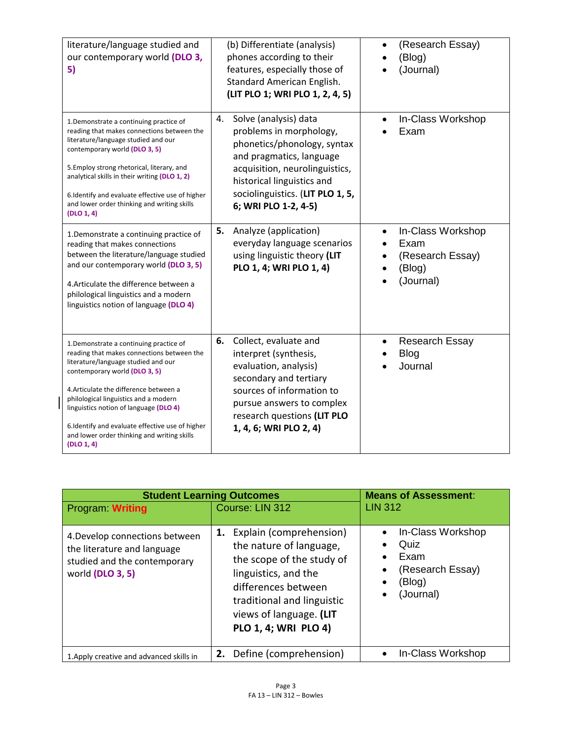| literature/language studied and<br>our contemporary world (DLO 3,<br>5)                                                                                                                                                                                                                                                                                                                                    | (b) Differentiate (analysis)<br>phones according to their<br>features, especially those of<br>Standard American English.<br>(LIT PLO 1; WRI PLO 1, 2, 4, 5)                                                                                   | (Research Essay)<br>(Blog)<br>(Journal)                              |
|------------------------------------------------------------------------------------------------------------------------------------------------------------------------------------------------------------------------------------------------------------------------------------------------------------------------------------------------------------------------------------------------------------|-----------------------------------------------------------------------------------------------------------------------------------------------------------------------------------------------------------------------------------------------|----------------------------------------------------------------------|
| 1. Demonstrate a continuing practice of<br>reading that makes connections between the<br>literature/language studied and our<br>contemporary world (DLO 3, 5)<br>5. Employ strong rhetorical, literary, and<br>analytical skills in their writing (DLO 1, 2)<br>6. Identify and evaluate effective use of higher<br>and lower order thinking and writing skills<br>(DLO 1, 4)                              | Solve (analysis) data<br>4.<br>problems in morphology,<br>phonetics/phonology, syntax<br>and pragmatics, language<br>acquisition, neurolinguistics,<br>historical linguistics and<br>sociolinguistics. (LIT PLO 1, 5,<br>6; WRI PLO 1-2, 4-5) | In-Class Workshop<br>Exam                                            |
| 1. Demonstrate a continuing practice of<br>reading that makes connections<br>between the literature/language studied<br>and our contemporary world (DLO 3, 5)<br>4. Articulate the difference between a<br>philological linguistics and a modern<br>linguistics notion of language (DLO 4)                                                                                                                 | 5.<br>Analyze (application)<br>everyday language scenarios<br>using linguistic theory (LIT<br>PLO 1, 4; WRI PLO 1, 4)                                                                                                                         | In-Class Workshop<br>Exam<br>(Research Essay)<br>(Blog)<br>(Journal) |
| 1. Demonstrate a continuing practice of<br>reading that makes connections between the<br>literature/language studied and our<br>contemporary world (DLO 3, 5)<br>4. Articulate the difference between a<br>philological linguistics and a modern<br>linguistics notion of language (DLO 4)<br>6.Identify and evaluate effective use of higher<br>and lower order thinking and writing skills<br>(DLO 1, 4) | 6.<br>Collect, evaluate and<br>interpret (synthesis,<br>evaluation, analysis)<br>secondary and tertiary<br>sources of information to<br>pursue answers to complex<br>research questions (LIT PLO<br>1, 4, 6; WRI PLO 2, 4)                    | <b>Research Essay</b><br><b>Blog</b><br>Journal                      |

| <b>Student Learning Outcomes</b>                                                                                  |                                                                                                                                                                                                                       | <b>Means of Assessment:</b>                                                               |
|-------------------------------------------------------------------------------------------------------------------|-----------------------------------------------------------------------------------------------------------------------------------------------------------------------------------------------------------------------|-------------------------------------------------------------------------------------------|
| Program: Writing                                                                                                  | Course: LIN 312                                                                                                                                                                                                       | <b>LIN 312</b>                                                                            |
| 4. Develop connections between<br>the literature and language<br>studied and the contemporary<br>world (DLO 3, 5) | Explain (comprehension)<br>1.<br>the nature of language,<br>the scope of the study of<br>linguistics, and the<br>differences between<br>traditional and linguistic<br>views of language. (LIT<br>PLO 1, 4; WRI PLO 4) | In-Class Workshop<br>$\bullet$<br>Quiz<br>Exam<br>(Research Essay)<br>(Blog)<br>(Journal) |
| 1. Apply creative and advanced skills in                                                                          | 2. Define (comprehension)                                                                                                                                                                                             | In-Class Workshop<br>$\bullet$                                                            |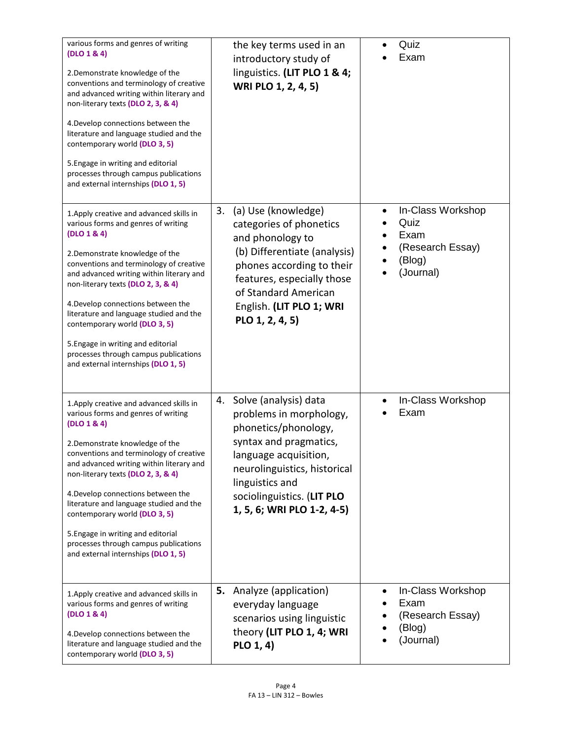| various forms and genres of writing<br>(DLO 1 & 4)<br>2. Demonstrate knowledge of the<br>conventions and terminology of creative<br>and advanced writing within literary and<br>non-literary texts (DLO 2, 3, & 4)<br>4. Develop connections between the<br>literature and language studied and the<br>contemporary world (DLO 3, 5)<br>5. Engage in writing and editorial<br>processes through campus publications<br>and external internships (DLO 1, 5)                                             | the key terms used in an<br>introductory study of<br>linguistics. (LIT PLO 1 & 4;<br>WRI PLO 1, 2, 4, 5)                                                                                                                                         | Quiz<br>Exam                                                                 |
|--------------------------------------------------------------------------------------------------------------------------------------------------------------------------------------------------------------------------------------------------------------------------------------------------------------------------------------------------------------------------------------------------------------------------------------------------------------------------------------------------------|--------------------------------------------------------------------------------------------------------------------------------------------------------------------------------------------------------------------------------------------------|------------------------------------------------------------------------------|
| 1. Apply creative and advanced skills in<br>various forms and genres of writing<br>(DLO 1 & 4)<br>2. Demonstrate knowledge of the<br>conventions and terminology of creative<br>and advanced writing within literary and<br>non-literary texts (DLO 2, 3, & 4)<br>4. Develop connections between the<br>literature and language studied and the<br>contemporary world (DLO 3, 5)<br>5. Engage in writing and editorial<br>processes through campus publications<br>and external internships (DLO 1, 5) | 3.<br>(a) Use (knowledge)<br>categories of phonetics<br>and phonology to<br>(b) Differentiate (analysis)<br>phones according to their<br>features, especially those<br>of Standard American<br>English. (LIT PLO 1; WRI<br>PLO 1, 2, 4, 5)       | In-Class Workshop<br>Quiz<br>Exam<br>(Research Essay)<br>(Blog)<br>(Journal) |
| 1. Apply creative and advanced skills in<br>various forms and genres of writing<br>(DLO 1 & 4)<br>2. Demonstrate knowledge of the<br>conventions and terminology of creative<br>and advanced writing within literary and<br>non-literary texts (DLO 2, 3, & 4)<br>4. Develop connections between the<br>literature and language studied and the<br>contemporary world (DLO 3, 5)<br>5. Engage in writing and editorial<br>processes through campus publications<br>and external internships (DLO 1, 5) | Solve (analysis) data<br>4.<br>problems in morphology,<br>phonetics/phonology,<br>syntax and pragmatics,<br>language acquisition,<br>neurolinguistics, historical<br>linguistics and<br>sociolinguistics. (LIT PLO<br>1, 5, 6; WRI PLO 1-2, 4-5) | In-Class Workshop<br>Exam                                                    |
| 1. Apply creative and advanced skills in<br>various forms and genres of writing<br>(DLO 1 & 4)<br>4. Develop connections between the<br>literature and language studied and the<br>contemporary world (DLO 3, 5)                                                                                                                                                                                                                                                                                       | <b>5.</b> Analyze (application)<br>everyday language<br>scenarios using linguistic<br>theory (LIT PLO 1, 4; WRI<br>PLO 1, 4)                                                                                                                     | In-Class Workshop<br>Exam<br>(Research Essay)<br>(Blog)<br>(Journal)         |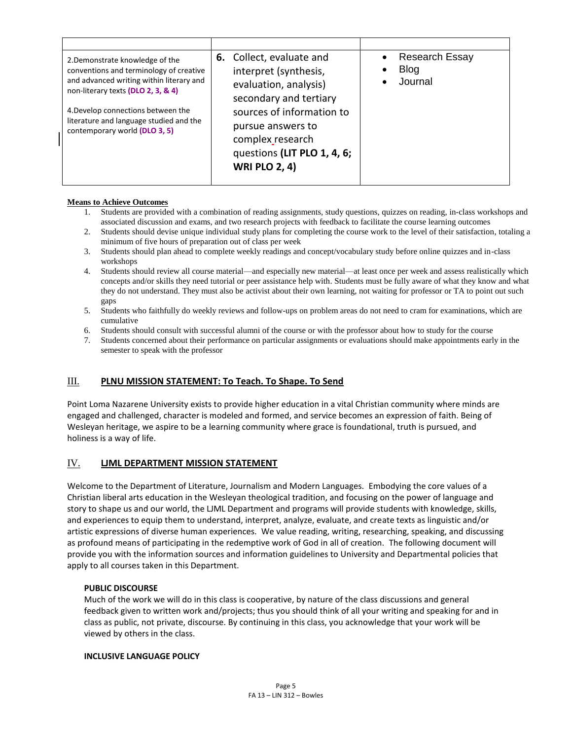| 2. Demonstrate knowledge of the<br>conventions and terminology of creative<br>and advanced writing within literary and<br>non-literary texts (DLO 2, 3, & 4)<br>4. Develop connections between the<br>literature and language studied and the<br>contemporary world (DLO 3, 5) | <b>6.</b> Collect, evaluate and<br>interpret (synthesis,<br>evaluation, analysis)<br>secondary and tertiary<br>sources of information to<br>pursue answers to<br>complex research<br>questions (LIT PLO 1, 4, 6;<br><b>WRI PLO 2, 4)</b> | <b>Research Essay</b><br><b>Blog</b><br>Journal |
|--------------------------------------------------------------------------------------------------------------------------------------------------------------------------------------------------------------------------------------------------------------------------------|------------------------------------------------------------------------------------------------------------------------------------------------------------------------------------------------------------------------------------------|-------------------------------------------------|

## **Means to Achieve Outcomes**

- 1. Students are provided with a combination of reading assignments, study questions, quizzes on reading, in-class workshops and associated discussion and exams, and two research projects with feedback to facilitate the course learning outcomes
- 2. Students should devise unique individual study plans for completing the course work to the level of their satisfaction, totaling a minimum of five hours of preparation out of class per week
- 3. Students should plan ahead to complete weekly readings and concept/vocabulary study before online quizzes and in-class workshops
- 4. Students should review all course material—and especially new material—at least once per week and assess realistically which concepts and/or skills they need tutorial or peer assistance help with. Students must be fully aware of what they know and what they do not understand. They must also be activist about their own learning, not waiting for professor or TA to point out such gaps
- 5. Students who faithfully do weekly reviews and follow-ups on problem areas do not need to cram for examinations, which are cumulative
- 6. Students should consult with successful alumni of the course or with the professor about how to study for the course
- 7. Students concerned about their performance on particular assignments or evaluations should make appointments early in the semester to speak with the professor

# III. **PLNU MISSION STATEMENT: To Teach. To Shape. To Send**

Point Loma Nazarene University exists to provide higher education in a vital Christian community where minds are engaged and challenged, character is modeled and formed, and service becomes an expression of faith. Being of Wesleyan heritage, we aspire to be a learning community where grace is foundational, truth is pursued, and holiness is a way of life.

## IV. **LJML DEPARTMENT MISSION STATEMENT**

Welcome to the Department of Literature, Journalism and Modern Languages. Embodying the core values of a Christian liberal arts education in the Wesleyan theological tradition, and focusing on the power of language and story to shape us and our world, the LJML Department and programs will provide students with knowledge, skills, and experiences to equip them to understand, interpret, analyze, evaluate, and create texts as linguistic and/or artistic expressions of diverse human experiences. We value reading, writing, researching, speaking, and discussing as profound means of participating in the redemptive work of God in all of creation. The following document will provide you with the information sources and information guidelines to University and Departmental policies that apply to all courses taken in this Department.

## **PUBLIC DISCOURSE**

Much of the work we will do in this class is cooperative, by nature of the class discussions and general feedback given to written work and/projects; thus you should think of all your writing and speaking for and in class as public, not private, discourse. By continuing in this class, you acknowledge that your work will be viewed by others in the class.

#### **INCLUSIVE LANGUAGE POLICY**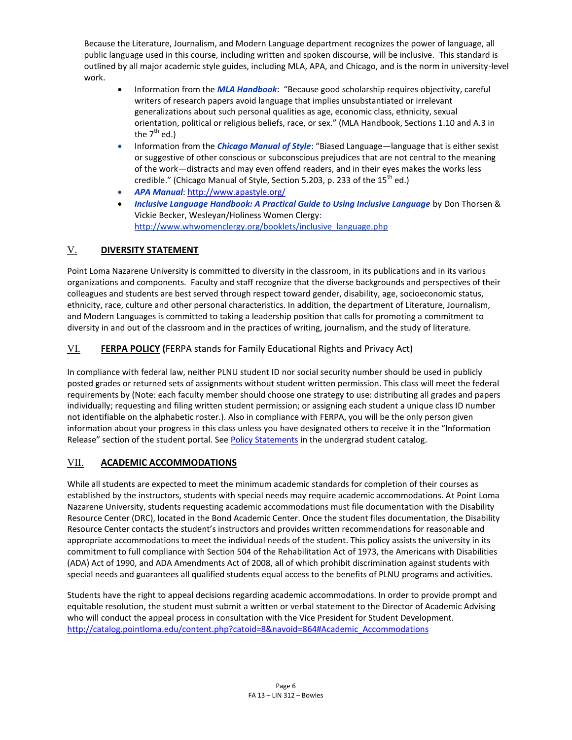Because the Literature, Journalism, and Modern Language department recognizes the power of language, all public language used in this course, including written and spoken discourse, will be inclusive. This standard is outlined by all major academic style guides, including MLA, APA, and Chicago, and is the norm in university-level work.

- Information from the *MLA Handbook*: "Because good scholarship requires objectivity, careful writers of research papers avoid language that implies unsubstantiated or irrelevant generalizations about such personal qualities as age, economic class, ethnicity, sexual orientation, political or religious beliefs, race, or sex." (MLA Handbook, Sections 1.10 and A.3 in the 7 $^{\text{th}}$  ed.)
- Information from the *Chicago Manual of Style*: "Biased Language—language that is either sexist or suggestive of other conscious or subconscious prejudices that are not central to the meaning of the work—distracts and may even offend readers, and in their eyes makes the works less credible." (Chicago Manual of Style, Section 5.203, p. 233 of the  $15<sup>th</sup>$  ed.)
- *APA Manual*[: http://www.apastyle.org/](http://www.apastyle.org/)
- *Inclusive Language Handbook: A Practical Guide to Using Inclusive Language* by Don Thorsen & Vickie Becker, Wesleyan/Holiness Women Clergy: [http://www.whwomenclergy.org/booklets/inclusive\\_language.php](http://www.whwomenclergy.org/booklets/inclusive_language.php)

# V. **DIVERSITY STATEMENT**

Point Loma Nazarene University is committed to diversity in the classroom, in its publications and in its various organizations and components. Faculty and staff recognize that the diverse backgrounds and perspectives of their colleagues and students are best served through respect toward gender, disability, age, socioeconomic status, ethnicity, race, culture and other personal characteristics. In addition, the department of Literature, Journalism, and Modern Languages is committed to taking a leadership position that calls for promoting a commitment to diversity in and out of the classroom and in the practices of writing, journalism, and the study of literature.

# VI. **FERPA POLICY (**FERPA stands for Family Educational Rights and Privacy Act)

In compliance with federal law, neither PLNU student ID nor social security number should be used in publicly posted grades or returned sets of assignments without student written permission. This class will meet the federal requirements by (Note: each faculty member should choose one strategy to use: distributing all grades and papers individually; requesting and filing written student permission; or assigning each student a unique class ID number not identifiable on the alphabetic roster.). Also in compliance with FERPA, you will be the only person given information about your progress in this class unless you have designated others to receive it in the "Information Release" section of the student portal. See [Policy Statements](http://catalog.pointloma.edu/content.php?catoid=8&navoid=864) in the undergrad student catalog.

# VII. **ACADEMIC ACCOMMODATIONS**

While all students are expected to meet the minimum academic standards for completion of their courses as established by the instructors, students with special needs may require academic accommodations. At Point Loma Nazarene University, students requesting academic accommodations must file documentation with the Disability Resource Center (DRC), located in the Bond Academic Center. Once the student files documentation, the Disability Resource Center contacts the student's instructors and provides written recommendations for reasonable and appropriate accommodations to meet the individual needs of the student. This policy assists the university in its commitment to full compliance with Section 504 of the Rehabilitation Act of 1973, the Americans with Disabilities (ADA) Act of 1990, and ADA Amendments Act of 2008, all of which prohibit discrimination against students with special needs and guarantees all qualified students equal access to the benefits of PLNU programs and activities.

Students have the right to appeal decisions regarding academic accommodations. In order to provide prompt and equitable resolution, the student must submit a written or verbal statement to the Director of Academic Advising who will conduct the appeal process in consultation with the Vice President for Student Development. [http://catalog.pointloma.edu/content.php?catoid=8&navoid=864#Academic\\_Accommodations](http://catalog.pointloma.edu/content.php?catoid=8&navoid=864#Academic_Accommodations)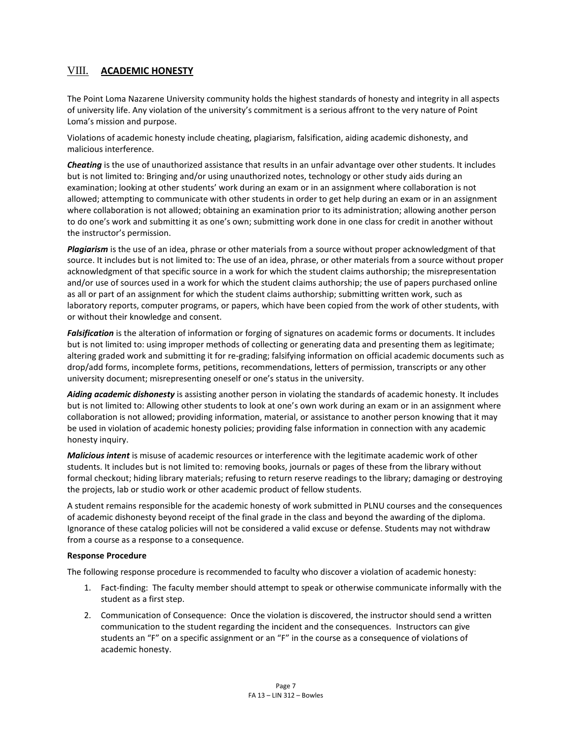# VIII. **ACADEMIC HONESTY**

The Point Loma Nazarene University community holds the highest standards of honesty and integrity in all aspects of university life. Any violation of the university's commitment is a serious affront to the very nature of Point Loma's mission and purpose.

Violations of academic honesty include cheating, plagiarism, falsification, aiding academic dishonesty, and malicious interference.

*Cheating* is the use of unauthorized assistance that results in an unfair advantage over other students. It includes but is not limited to: Bringing and/or using unauthorized notes, technology or other study aids during an examination; looking at other students' work during an exam or in an assignment where collaboration is not allowed; attempting to communicate with other students in order to get help during an exam or in an assignment where collaboration is not allowed; obtaining an examination prior to its administration; allowing another person to do one's work and submitting it as one's own; submitting work done in one class for credit in another without the instructor's permission.

*Plagiarism* is the use of an idea, phrase or other materials from a source without proper acknowledgment of that source. It includes but is not limited to: The use of an idea, phrase, or other materials from a source without proper acknowledgment of that specific source in a work for which the student claims authorship; the misrepresentation and/or use of sources used in a work for which the student claims authorship; the use of papers purchased online as all or part of an assignment for which the student claims authorship; submitting written work, such as laboratory reports, computer programs, or papers, which have been copied from the work of other students, with or without their knowledge and consent.

*Falsification* is the alteration of information or forging of signatures on academic forms or documents. It includes but is not limited to: using improper methods of collecting or generating data and presenting them as legitimate; altering graded work and submitting it for re-grading; falsifying information on official academic documents such as drop/add forms, incomplete forms, petitions, recommendations, letters of permission, transcripts or any other university document; misrepresenting oneself or one's status in the university.

*Aiding academic dishonesty* is assisting another person in violating the standards of academic honesty. It includes but is not limited to: Allowing other students to look at one's own work during an exam or in an assignment where collaboration is not allowed; providing information, material, or assistance to another person knowing that it may be used in violation of academic honesty policies; providing false information in connection with any academic honesty inquiry.

*Malicious intent* is misuse of academic resources or interference with the legitimate academic work of other students. It includes but is not limited to: removing books, journals or pages of these from the library without formal checkout; hiding library materials; refusing to return reserve readings to the library; damaging or destroying the projects, lab or studio work or other academic product of fellow students.

A student remains responsible for the academic honesty of work submitted in PLNU courses and the consequences of academic dishonesty beyond receipt of the final grade in the class and beyond the awarding of the diploma. Ignorance of these catalog policies will not be considered a valid excuse or defense. Students may not withdraw from a course as a response to a consequence.

#### **Response Procedure**

The following response procedure is recommended to faculty who discover a violation of academic honesty:

- 1. Fact-finding: The faculty member should attempt to speak or otherwise communicate informally with the student as a first step.
- 2. Communication of Consequence: Once the violation is discovered, the instructor should send a written communication to the student regarding the incident and the consequences. Instructors can give students an "F" on a specific assignment or an "F" in the course as a consequence of violations of academic honesty.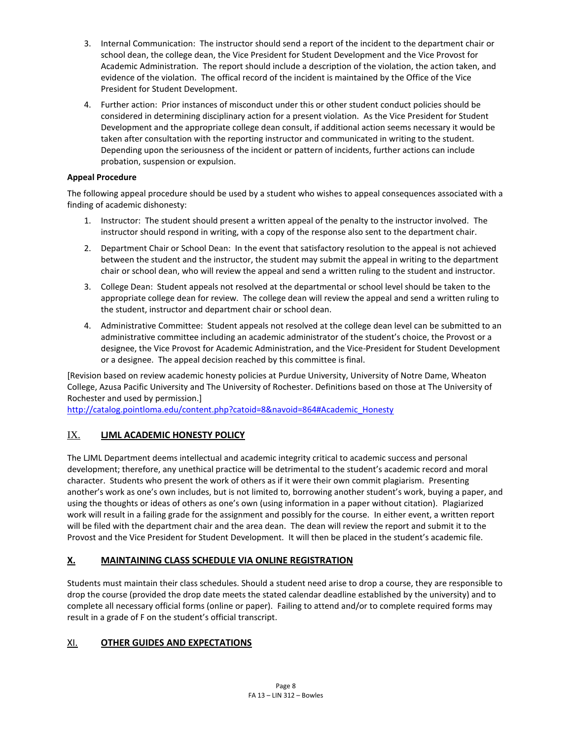- 3. Internal Communication: The instructor should send a report of the incident to the department chair or school dean, the college dean, the Vice President for Student Development and the Vice Provost for Academic Administration. The report should include a description of the violation, the action taken, and evidence of the violation. The offical record of the incident is maintained by the Office of the Vice President for Student Development.
- 4. Further action: Prior instances of misconduct under this or other student conduct policies should be considered in determining disciplinary action for a present violation. As the Vice President for Student Development and the appropriate college dean consult, if additional action seems necessary it would be taken after consultation with the reporting instructor and communicated in writing to the student. Depending upon the seriousness of the incident or pattern of incidents, further actions can include probation, suspension or expulsion.

# **Appeal Procedure**

The following appeal procedure should be used by a student who wishes to appeal consequences associated with a finding of academic dishonesty:

- 1. Instructor: The student should present a written appeal of the penalty to the instructor involved. The instructor should respond in writing, with a copy of the response also sent to the department chair.
- 2. Department Chair or School Dean: In the event that satisfactory resolution to the appeal is not achieved between the student and the instructor, the student may submit the appeal in writing to the department chair or school dean, who will review the appeal and send a written ruling to the student and instructor.
- 3. College Dean: Student appeals not resolved at the departmental or school level should be taken to the appropriate college dean for review. The college dean will review the appeal and send a written ruling to the student, instructor and department chair or school dean.
- 4. Administrative Committee: Student appeals not resolved at the college dean level can be submitted to an administrative committee including an academic administrator of the student's choice, the Provost or a designee, the Vice Provost for Academic Administration, and the Vice-President for Student Development or a designee. The appeal decision reached by this committee is final.

[Revision based on review academic honesty policies at Purdue University, University of Notre Dame, Wheaton College, Azusa Pacific University and The University of Rochester. Definitions based on those at The University of Rochester and used by permission.]

[http://catalog.pointloma.edu/content.php?catoid=8&navoid=864#Academic\\_Honesty](http://catalog.pointloma.edu/content.php?catoid=8&navoid=864#Academic_Honesty)

# IX. **LJML ACADEMIC HONESTY POLICY**

The LJML Department deems intellectual and academic integrity critical to academic success and personal development; therefore, any unethical practice will be detrimental to the student's academic record and moral character. Students who present the work of others as if it were their own commit plagiarism. Presenting another's work as one's own includes, but is not limited to, borrowing another student's work, buying a paper, and using the thoughts or ideas of others as one's own (using information in a paper without citation). Plagiarized work will result in a failing grade for the assignment and possibly for the course. In either event, a written report will be filed with the department chair and the area dean. The dean will review the report and submit it to the Provost and the Vice President for Student Development. It will then be placed in the student's academic file.

# **X. MAINTAINING CLASS SCHEDULE VIA ONLINE REGISTRATION**

Students must maintain their class schedules. Should a student need arise to drop a course, they are responsible to drop the course (provided the drop date meets the stated calendar deadline established by the university) and to complete all necessary official forms (online or paper). Failing to attend and/or to complete required forms may result in a grade of F on the student's official transcript.

# XI. **OTHER GUIDES AND EXPECTATIONS**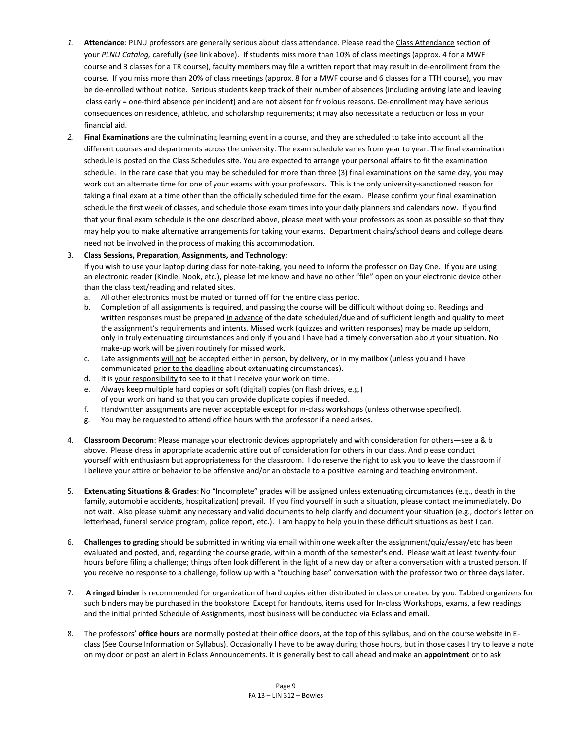- *1.* **Attendance**: PLNU professors are generally serious about class attendance. Please read the Class Attendance section of your *PLNU Catalog,* carefully (see link above). If students miss more than 10% of class meetings (approx. 4 for a MWF course and 3 classes for a TR course), faculty members may file a written report that may result in de-enrollment from the course. If you miss more than 20% of class meetings (approx. 8 for a MWF course and 6 classes for a TTH course), you may be de-enrolled without notice. Serious students keep track of their number of absences (including arriving late and leaving class early = one-third absence per incident) and are not absent for frivolous reasons. De-enrollment may have serious consequences on residence, athletic, and scholarship requirements; it may also necessitate a reduction or loss in your financial aid.
- *2.* **Final Examinations** are the culminating learning event in a course, and they are scheduled to take into account all the different courses and departments across the university. The exam schedule varies from year to year. The final examination schedule is posted on the Class Schedules site. You are expected to arrange your personal affairs to fit the examination schedule. In the rare case that you may be scheduled for more than three (3) final examinations on the same day, you may work out an alternate time for one of your exams with your professors. This is the only university-sanctioned reason for taking a final exam at a time other than the officially scheduled time for the exam. Please confirm your final examination schedule the first week of classes, and schedule those exam times into your daily planners and calendars now. If you find that your final exam schedule is the one described above, please meet with your professors as soon as possible so that they may help you to make alternative arrangements for taking your exams. Department chairs/school deans and college deans need not be involved in the process of making this accommodation.

#### 3. **Class Sessions, Preparation, Assignments, and Technology**:

If you wish to use your laptop during class for note-taking, you need to inform the professor on Day One. If you are using an electronic reader (Kindle, Nook, etc.), please let me know and have no other "file" open on your electronic device other than the class text/reading and related sites.

- a. All other electronics must be muted or turned off for the entire class period.
- b. Completion of all assignments is required, and passing the course will be difficult without doing so. Readings and written responses must be prepared in advance of the date scheduled/due and of sufficient length and quality to meet the assignment's requirements and intents. Missed work (quizzes and written responses) may be made up seldom, only in truly extenuating circumstances and only if you and I have had a timely conversation about your situation. No make-up work will be given routinely for missed work.
- c. Late assignments will not be accepted either in person, by delivery, or in my mailbox (unless you and I have communicated prior to the deadline about extenuating circumstances).
- d. It is your responsibility to see to it that I receive your work on time.
- e. Always keep multiple hard copies or soft (digital) copies (on flash drives, e.g.) of your work on hand so that you can provide duplicate copies if needed.
- f. Handwritten assignments are never acceptable except for in-class workshops (unless otherwise specified).
- g. You may be requested to attend office hours with the professor if a need arises.
- 4. **Classroom Decorum**: Please manage your electronic devices appropriately and with consideration for others—see a & b above. Please dress in appropriate academic attire out of consideration for others in our class. And please conduct yourself with enthusiasm but appropriateness for the classroom. I do reserve the right to ask you to leave the classroom if I believe your attire or behavior to be offensive and/or an obstacle to a positive learning and teaching environment.
- 5. **Extenuating Situations & Grades**: No "Incomplete" grades will be assigned unless extenuating circumstances (e.g., death in the family, automobile accidents, hospitalization) prevail. If you find yourself in such a situation, please contact me immediately. Do not wait. Also please submit any necessary and valid documents to help clarify and document your situation (e.g., doctor's letter on letterhead, funeral service program, police report, etc.). I am happy to help you in these difficult situations as best I can.
- 6. **Challenges to grading** should be submitted in writing via email within one week after the assignment/quiz/essay/etc has been evaluated and posted, and, regarding the course grade, within a month of the semester's end. Please wait at least twenty-four hours before filing a challenge; things often look different in the light of a new day or after a conversation with a trusted person. If you receive no response to a challenge, follow up with a "touching base" conversation with the professor two or three days later.
- 7. **A ringed binder** is recommended for organization of hard copies either distributed in class or created by you. Tabbed organizers for such binders may be purchased in the bookstore. Except for handouts, items used for In-class Workshops, exams, a few readings and the initial printed Schedule of Assignments, most business will be conducted via Eclass and email.
- 8. The professors' **office hours** are normally posted at their office doors, at the top of this syllabus, and on the course website in Eclass (See Course Information or Syllabus). Occasionally I have to be away during those hours, but in those cases I try to leave a note on my door or post an alert in Eclass Announcements. It is generally best to call ahead and make an **appointment** or to ask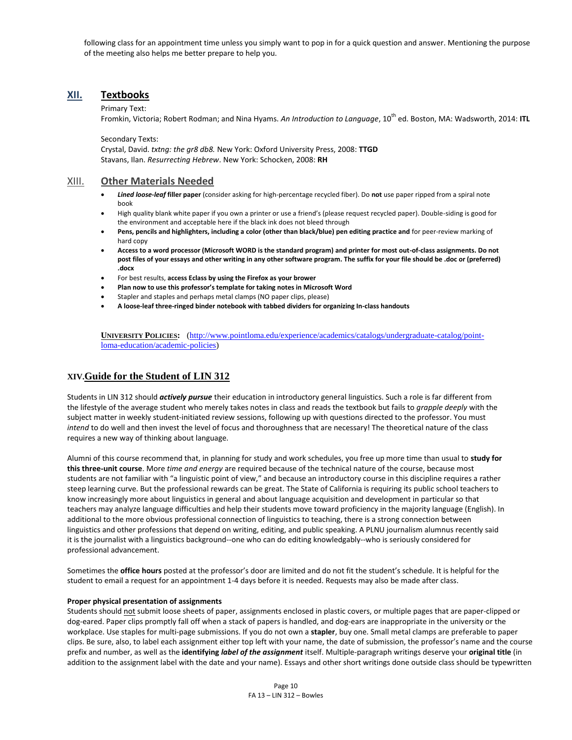following class for an appointment time unless you simply want to pop in for a quick question and answer. Mentioning the purpose of the meeting also helps me better prepare to help you.

# **XII. Textbooks**

#### Primary Text:

Fromkin, Victoria; Robert Rodman; and Nina Hyams. *An Introduction to Language*, 10th ed. Boston, MA: Wadsworth, 2014: **ITL**

Secondary Texts:

Crystal, David. *txtng: the gr8 db8.* New York: Oxford University Press, 2008: **TTGD** Stavans, Ilan. *Resurrecting Hebrew*. New York: Schocken, 2008: **RH**

#### XIII. **Other Materials Needed**

- *Lined loose-leaf* **filler paper** (consider asking for high-percentage recycled fiber). Do **not** use paper ripped from a spiral note book
- High quality blank white paper if you own a printer or use a friend's (please request recycled paper). Double-siding is good for the environment and acceptable here if the black ink does not bleed through
- **Pens, pencils and highlighters, including a color (other than black/blue) pen editing practice and** for peer-review marking of hard copy
- **Access to a word processor (Microsoft WORD is the standard program) and printer for most out-of-class assignments. Do not post files of your essays and other writing in any other software program. The suffix for your file should be .doc or (preferred) .docx**
- For best results, **access Eclass by using the Firefox as your brower**
- **Plan now to use this professor's template for taking notes in Microsoft Word**
- Stapler and staples and perhaps metal clamps (NO paper clips, please)
- **A loose-leaf three-ringed binder notebook with tabbed dividers for organizing In-class handouts**

**UNIVERSITY POLICIES:** [\(http://www.pointloma.edu/experience/academics/catalogs/undergraduate-catalog/point](http://www.pointloma.edu/experience/academics/catalogs/undergraduate-catalog/point-loma-education/academic-policies)[loma-education/academic-policies\)](http://www.pointloma.edu/experience/academics/catalogs/undergraduate-catalog/point-loma-education/academic-policies)

## **XIV.Guide for the Student of LIN 312**

Students in LIN 312 should *actively pursue* their education in introductory general linguistics. Such a role is far different from the lifestyle of the average student who merely takes notes in class and reads the textbook but fails to *grapple deeply* with the subject matter in weekly student-initiated review sessions, following up with questions directed to the professor. You must *intend* to do well and then invest the level of focus and thoroughness that are necessary! The theoretical nature of the class requires a new way of thinking about language.

Alumni of this course recommend that, in planning for study and work schedules, you free up more time than usual to **study for this three-unit course**. More *time and energy* are required because of the technical nature of the course, because most students are not familiar with "a linguistic point of view," and because an introductory course in this discipline requires a rather steep learning curve. But the professional rewards can be great. The State of California is requiring its public school teachers to know increasingly more about linguistics in general and about language acquisition and development in particular so that teachers may analyze language difficulties and help their students move toward proficiency in the majority language (English). In additional to the more obvious professional connection of linguistics to teaching, there is a strong connection between linguistics and other professions that depend on writing, editing, and public speaking. A PLNU journalism alumnus recently said it is the journalist with a linguistics background--one who can do editing knowledgably--who is seriously considered for professional advancement.

Sometimes the **office hours** posted at the professor's door are limited and do not fit the student's schedule. It is helpful for the student to email a request for an appointment 1-4 days before it is needed. Requests may also be made after class.

#### **Proper physical presentation of assignments**

Students should not submit loose sheets of paper, assignments enclosed in plastic covers, or multiple pages that are paper-clipped or dog-eared. Paper clips promptly fall off when a stack of papers is handled, and dog-ears are inappropriate in the university or the workplace. Use staples for multi-page submissions. If you do not own a **stapler**, buy one. Small metal clamps are preferable to paper clips. Be sure, also, to label each assignment either top left with your name, the date of submission, the professor's name and the course prefix and number, as well as the **identifying** *label of the assignment* itself. Multiple-paragraph writings deserve your **original title** (in addition to the assignment label with the date and your name). Essays and other short writings done outside class should be typewritten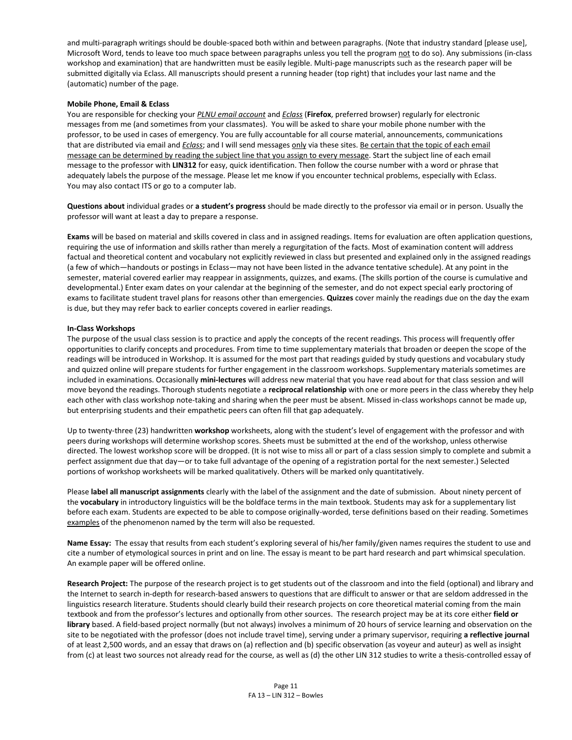and multi-paragraph writings should be double-spaced both within and between paragraphs. (Note that industry standard [please use], Microsoft Word, tends to leave too much space between paragraphs unless you tell the program not to do so). Any submissions (in-class workshop and examination) that are handwritten must be easily legible. Multi-page manuscripts such as the research paper will be submitted digitally via Eclass. All manuscripts should present a running header (top right) that includes your last name and the (automatic) number of the page.

#### **Mobile Phone, Email & Eclass**

You are responsible for checking your *PLNU email account* and *Eclass* (**Firefox**, preferred browser) regularly for electronic messages from me (and sometimes from your classmates). You will be asked to share your mobile phone number with the professor, to be used in cases of emergency. You are fully accountable for all course material, announcements, communications that are distributed via email and *Eclass*; and I will send messages only via these sites. Be certain that the topic of each email message can be determined by reading the subject line that you assign to every message. Start the subject line of each email message to the professor with **LIN312** for easy, quick identification. Then follow the course number with a word or phrase that adequately labels the purpose of the message. Please let me know if you encounter technical problems, especially with Eclass. You may also contact ITS or go to a computer lab.

**Questions about** individual grades or **a student's progress** should be made directly to the professor via email or in person. Usually the professor will want at least a day to prepare a response.

**Exams** will be based on material and skills covered in class and in assigned readings. Items for evaluation are often application questions, requiring the use of information and skills rather than merely a regurgitation of the facts. Most of examination content will address factual and theoretical content and vocabulary not explicitly reviewed in class but presented and explained only in the assigned readings (a few of which—handouts or postings in Eclass—may not have been listed in the advance tentative schedule). At any point in the semester, material covered earlier may reappear in assignments, quizzes, and exams. (The skills portion of the course is cumulative and developmental.) Enter exam dates on your calendar at the beginning of the semester, and do not expect special early proctoring of exams to facilitate student travel plans for reasons other than emergencies. **Quizzes** cover mainly the readings due on the day the exam is due, but they may refer back to earlier concepts covered in earlier readings.

#### **In-Class Workshops**

The purpose of the usual class session is to practice and apply the concepts of the recent readings. This process will frequently offer opportunities to clarify concepts and procedures. From time to time supplementary materials that broaden or deepen the scope of the readings will be introduced in Workshop. It is assumed for the most part that readings guided by study questions and vocabulary study and quizzed online will prepare students for further engagement in the classroom workshops. Supplementary materials sometimes are included in examinations. Occasionally **mini-lectures** will address new material that you have read about for that class session and will move beyond the readings. Thorough students negotiate a **reciprocal relationship** with one or more peers in the class whereby they help each other with class workshop note-taking and sharing when the peer must be absent. Missed in-class workshops cannot be made up, but enterprising students and their empathetic peers can often fill that gap adequately.

Up to twenty-three (23) handwritten **workshop** worksheets, along with the student's level of engagement with the professor and with peers during workshops will determine workshop scores. Sheets must be submitted at the end of the workshop, unless otherwise directed. The lowest workshop score will be dropped. (It is not wise to miss all or part of a class session simply to complete and submit a perfect assignment due that day—or to take full advantage of the opening of a registration portal for the next semester.) Selected portions of workshop worksheets will be marked qualitatively. Others will be marked only quantitatively.

Please **label all manuscript assignments** clearly with the label of the assignment and the date of submission. About ninety percent of the **vocabulary** in introductory linguistics will be the boldface terms in the main textbook. Students may ask for a supplementary list before each exam. Students are expected to be able to compose originally-worded, terse definitions based on their reading. Sometimes examples of the phenomenon named by the term will also be requested.

**Name Essay:** The essay that results from each student's exploring several of his/her family/given names requires the student to use and cite a number of etymological sources in print and on line. The essay is meant to be part hard research and part whimsical speculation. An example paper will be offered online.

**Research Project:** The purpose of the research project is to get students out of the classroom and into the field (optional) and library and the Internet to search in-depth for research-based answers to questions that are difficult to answer or that are seldom addressed in the linguistics research literature. Students should clearly build their research projects on core theoretical material coming from the main textbook and from the professor's lectures and optionally from other sources. The research project may be at its core either **field or library** based. A field-based project normally (but not always) involves a minimum of 20 hours of service learning and observation on the site to be negotiated with the professor (does not include travel time), serving under a primary supervisor, requiring **a reflective journal** of at least 2,500 words, and an essay that draws on (a) reflection and (b) specific observation (as voyeur and auteur) as well as insight from (c) at least two sources not already read for the course, as well as (d) the other LIN 312 studies to write a thesis-controlled essay of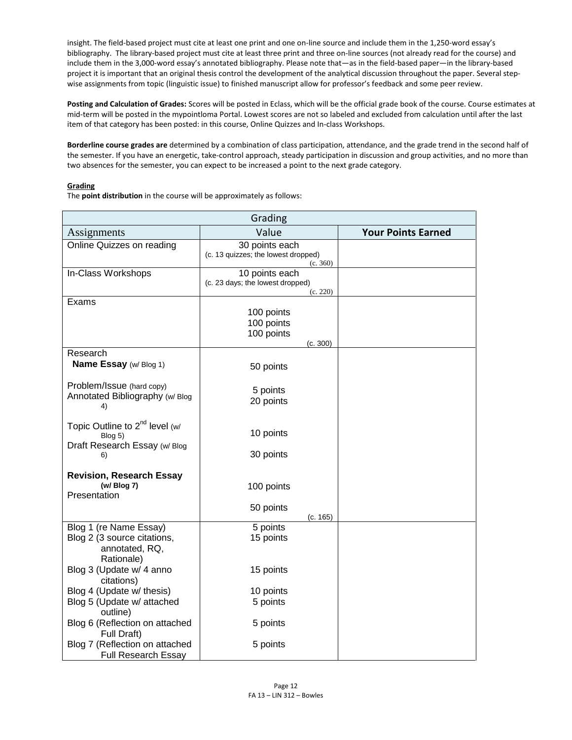insight. The field-based project must cite at least one print and one on-line source and include them in the 1,250-word essay's bibliography. The library-based project must cite at least three print and three on-line sources (not already read for the course) and include them in the 3,000-word essay's annotated bibliography. Please note that—as in the field-based paper—in the library-based project it is important that an original thesis control the development of the analytical discussion throughout the paper. Several stepwise assignments from topic (linguistic issue) to finished manuscript allow for professor's feedback and some peer review.

**Posting and Calculation of Grades:** Scores will be posted in Eclass, which will be the official grade book of the course. Course estimates at mid-term will be posted in the mypointloma Portal. Lowest scores are not so labeled and excluded from calculation until after the last item of that category has been posted: in this course, Online Quizzes and In-class Workshops.

**Borderline course grades are** determined by a combination of class participation, attendance, and the grade trend in the second half of the semester. If you have an energetic, take-control approach, steady participation in discussion and group activities, and no more than two absences for the semester, you can expect to be increased a point to the next grade category.

#### **Grading**

The **point distribution** in the course will be approximately as follows:

| Grading                                                                               |                                                                   |                           |  |
|---------------------------------------------------------------------------------------|-------------------------------------------------------------------|---------------------------|--|
| Assignments                                                                           | Value                                                             | <b>Your Points Earned</b> |  |
| Online Quizzes on reading                                                             | 30 points each<br>(c. 13 quizzes; the lowest dropped)<br>(c. 360) |                           |  |
| In-Class Workshops                                                                    | 10 points each<br>(c. 23 days; the lowest dropped)<br>(c. 220)    |                           |  |
| Exams                                                                                 | 100 points<br>100 points<br>100 points<br>(c. 300)                |                           |  |
| Research                                                                              |                                                                   |                           |  |
| Name Essay (w/Blog 1)                                                                 | 50 points                                                         |                           |  |
| Problem/Issue (hard copy)<br>Annotated Bibliography (w/Blog<br>4)                     | 5 points<br>20 points                                             |                           |  |
| Topic Outline to $2^{nd}$ level (w/<br>Blog 5)<br>Draft Research Essay (w/Blog        | 10 points                                                         |                           |  |
| 6)<br><b>Revision, Research Essay</b><br>(w/ Blog 7)<br>Presentation                  | 30 points<br>100 points<br>50 points<br>(c. 165)                  |                           |  |
| Blog 1 (re Name Essay)<br>Blog 2 (3 source citations,<br>annotated, RQ,<br>Rationale) | 5 points<br>15 points                                             |                           |  |
| Blog 3 (Update w/ 4 anno<br>citations)                                                | 15 points                                                         |                           |  |
| Blog 4 (Update w/ thesis)<br>Blog 5 (Update w/ attached<br>outline)                   | 10 points<br>5 points                                             |                           |  |
| Blog 6 (Reflection on attached<br>Full Draft)                                         | 5 points                                                          |                           |  |
| Blog 7 (Reflection on attached<br><b>Full Research Essay</b>                          | 5 points                                                          |                           |  |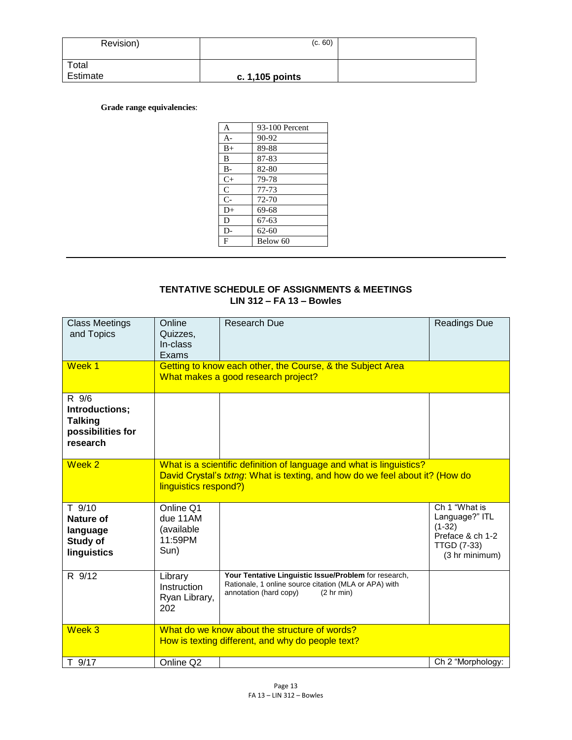| Revision)         | (c. 60)           |  |
|-------------------|-------------------|--|
| Total<br>Estimate | c. $1,105$ points |  |

# **Grade range equivalencies**:

| A              | 93-100 Percent |
|----------------|----------------|
| $A-$           | 90-92          |
| $B+$           | 89-88          |
| B              | 87-83          |
| $B -$          | 82-80          |
| $C+$           | 79-78          |
| $\mathsf{C}$   | 77-73          |
| $\overline{C}$ | 72-70          |
| $D+$           | 69-68          |
| D              | $67-63$        |
| $D-$           | $62 - 60$      |
| F              | Below 60       |
|                |                |

# **TENTATIVE SCHEDULE OF ASSIGNMENTS & MEETINGS LIN 312 – FA 13 – Bowles**

| <b>Class Meetings</b><br>and Topics<br>Week 1                              | Online<br>Quizzes,<br>In-class<br>Exams                | <b>Research Due</b>                                                                                                                                          | <b>Readings Due</b>                                                                                     |
|----------------------------------------------------------------------------|--------------------------------------------------------|--------------------------------------------------------------------------------------------------------------------------------------------------------------|---------------------------------------------------------------------------------------------------------|
|                                                                            |                                                        | Getting to know each other, the Course, & the Subject Area<br>What makes a good research project?                                                            |                                                                                                         |
| R 9/6<br>Introductions;<br><b>Talking</b><br>possibilities for<br>research |                                                        |                                                                                                                                                              |                                                                                                         |
| Week 2                                                                     | linguistics respond?)                                  | What is a scientific definition of language and what is linguistics?<br>David Crystal's <i>txtng</i> : What is texting, and how do we feel about it? (How do |                                                                                                         |
| $T$ 9/10<br>Nature of<br>language<br><b>Study of</b><br>linguistics        | Online Q1<br>due 11AM<br>(available<br>11:59PM<br>Sun) |                                                                                                                                                              | Ch 1 "What is<br>Language?" ITL<br>$(1-32)$<br>Preface & ch 1-2<br><b>TTGD (7-33)</b><br>(3 hr minimum) |
| R 9/12                                                                     | Library<br>Instruction<br>Ryan Library,<br>202         | Your Tentative Linguistic Issue/Problem for research,<br>Rationale, 1 online source citation (MLA or APA) with<br>annotation (hard copy)<br>(2 hr min)       |                                                                                                         |
| Week 3                                                                     |                                                        | What do we know about the structure of words?<br>How is texting different, and why do people text?                                                           |                                                                                                         |
| T 9/17                                                                     | Online Q2                                              |                                                                                                                                                              | Ch 2 "Morphology:                                                                                       |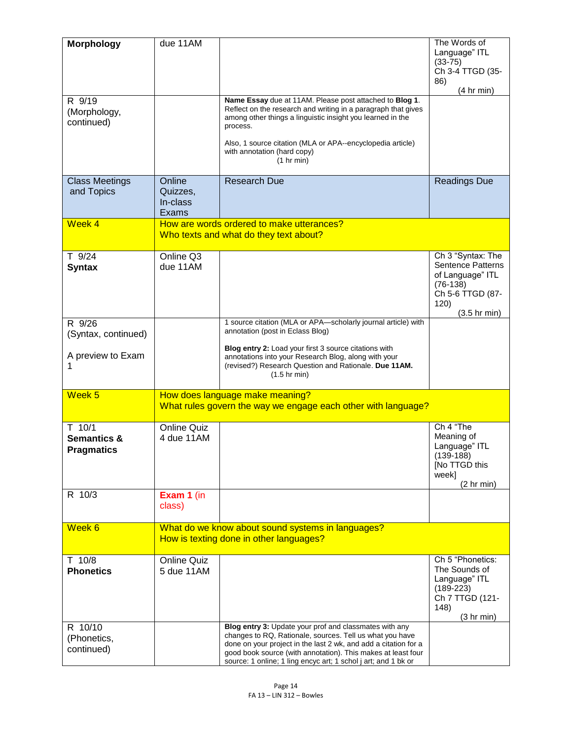| <b>Morphology</b>      | due 11AM           |                                                                                                                          | The Words of                   |
|------------------------|--------------------|--------------------------------------------------------------------------------------------------------------------------|--------------------------------|
|                        |                    |                                                                                                                          | Language" ITL                  |
|                        |                    |                                                                                                                          | $(33-75)$<br>Ch 3-4 TTGD (35-  |
|                        |                    |                                                                                                                          | 86)                            |
|                        |                    |                                                                                                                          | (4 hr min)                     |
| R 9/19                 |                    | Name Essay due at 11AM. Please post attached to Blog 1.<br>Reflect on the research and writing in a paragraph that gives |                                |
| (Morphology,           |                    | among other things a linguistic insight you learned in the                                                               |                                |
| continued)             |                    | process.                                                                                                                 |                                |
|                        |                    | Also, 1 source citation (MLA or APA--encyclopedia article)                                                               |                                |
|                        |                    | with annotation (hard copy)                                                                                              |                                |
|                        |                    | (1 hr min)                                                                                                               |                                |
| <b>Class Meetings</b>  | Online             | <b>Research Due</b>                                                                                                      | <b>Readings Due</b>            |
| and Topics             | Quizzes,           |                                                                                                                          |                                |
|                        | In-class           |                                                                                                                          |                                |
|                        | Exams              |                                                                                                                          |                                |
| Week 4                 |                    | How are words ordered to make utterances?                                                                                |                                |
|                        |                    | Who texts and what do they text about?                                                                                   |                                |
| $T$ 9/24               | Online Q3          |                                                                                                                          | Ch 3 "Syntax: The              |
| <b>Syntax</b>          | due 11AM           |                                                                                                                          | <b>Sentence Patterns</b>       |
|                        |                    |                                                                                                                          | of Language" ITL               |
|                        |                    |                                                                                                                          | $(76-138)$<br>Ch 5-6 TTGD (87- |
|                        |                    |                                                                                                                          | 120)                           |
|                        |                    |                                                                                                                          | $(3.5 \text{ hr min})$         |
| R 9/26                 |                    | 1 source citation (MLA or APA-scholarly journal article) with<br>annotation (post in Eclass Blog)                        |                                |
| (Syntax, continued)    |                    |                                                                                                                          |                                |
| A preview to Exam      |                    | Blog entry 2: Load your first 3 source citations with<br>annotations into your Research Blog, along with your            |                                |
| 1                      |                    | (revised?) Research Question and Rationale. Due 11AM.                                                                    |                                |
|                        |                    | $(1.5 \text{ hr min})$                                                                                                   |                                |
| Week <sub>5</sub>      |                    | How does language make meaning?                                                                                          |                                |
|                        |                    | What rules govern the way we engage each other with language?                                                            |                                |
|                        |                    |                                                                                                                          |                                |
| $T$ 10/1               | <b>Online Quiz</b> |                                                                                                                          | Ch 4 "The                      |
| <b>Semantics &amp;</b> | 4 due 11AM         |                                                                                                                          | Meaning of<br>Language" ITL    |
| <b>Pragmatics</b>      |                    |                                                                                                                          | $(139-188)$                    |
|                        |                    |                                                                                                                          | [No TTGD this                  |
|                        |                    |                                                                                                                          | week]<br>(2 hr min)            |
| R 10/3                 | Exam 1 (in         |                                                                                                                          |                                |
|                        | class)             |                                                                                                                          |                                |
|                        |                    |                                                                                                                          |                                |
| Week 6                 |                    | What do we know about sound systems in languages?                                                                        |                                |
|                        |                    | How is texting done in other languages?                                                                                  |                                |
| $T$ 10/8               | <b>Online Quiz</b> |                                                                                                                          | Ch 5 "Phonetics:               |
| <b>Phonetics</b>       | 5 due 11AM         |                                                                                                                          | The Sounds of                  |
|                        |                    |                                                                                                                          | Language" ITL                  |
|                        |                    |                                                                                                                          | $(189-223)$<br>Ch 7 TTGD (121- |
|                        |                    |                                                                                                                          | 148)                           |
|                        |                    |                                                                                                                          | (3 hr min)                     |
| R 10/10                |                    | Blog entry 3: Update your prof and classmates with any<br>changes to RQ, Rationale, sources. Tell us what you have       |                                |
| (Phonetics,            |                    | done on your project in the last 2 wk, and add a citation for a                                                          |                                |
| continued)             |                    | good book source (with annotation). This makes at least four                                                             |                                |
|                        |                    | source: 1 online; 1 ling encyc art; 1 schol j art; and 1 bk or                                                           |                                |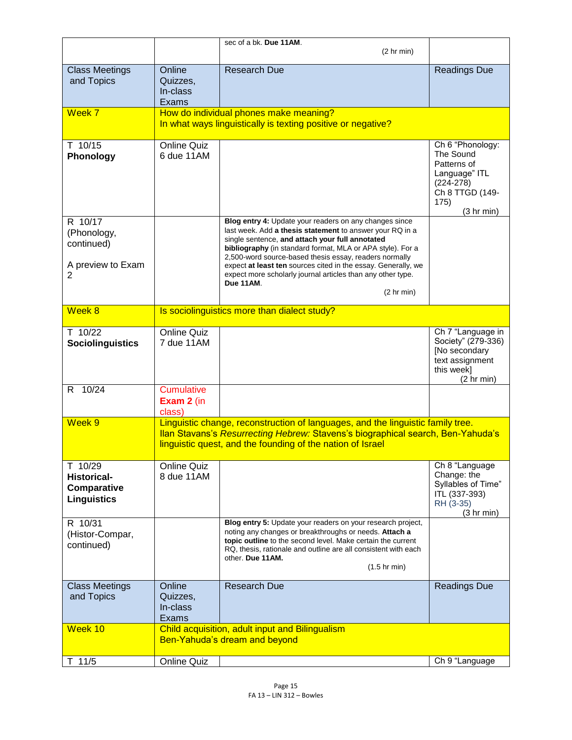|                                                                    |                                           | sec of a bk. Due 11AM.                                                                                                                                                                                                                                                                                                                                                                                                                                   |                                                                                                                       |
|--------------------------------------------------------------------|-------------------------------------------|----------------------------------------------------------------------------------------------------------------------------------------------------------------------------------------------------------------------------------------------------------------------------------------------------------------------------------------------------------------------------------------------------------------------------------------------------------|-----------------------------------------------------------------------------------------------------------------------|
|                                                                    |                                           | (2 hr min)                                                                                                                                                                                                                                                                                                                                                                                                                                               |                                                                                                                       |
| <b>Class Meetings</b><br>and Topics                                | Online<br>Quizzes,<br>In-class<br>Exams   | <b>Research Due</b>                                                                                                                                                                                                                                                                                                                                                                                                                                      | <b>Readings Due</b>                                                                                                   |
| Week 7                                                             |                                           | How do individual phones make meaning?<br>In what ways linguistically is texting positive or negative?                                                                                                                                                                                                                                                                                                                                                   |                                                                                                                       |
| T 10/15<br>Phonology                                               | <b>Online Quiz</b><br>6 due 11AM          |                                                                                                                                                                                                                                                                                                                                                                                                                                                          | Ch 6 "Phonology:<br>The Sound<br>Patterns of<br>Language" ITL<br>$(224-278)$<br>Ch 8 TTGD (149-<br>175)<br>(3 hr min) |
| R 10/17<br>(Phonology,<br>continued)<br>A preview to Exam<br>2     |                                           | Blog entry 4: Update your readers on any changes since<br>last week. Add a thesis statement to answer your RQ in a<br>single sentence, and attach your full annotated<br>bibliography (in standard format, MLA or APA style). For a<br>2,500-word source-based thesis essay, readers normally<br>expect at least ten sources cited in the essay. Generally, we<br>expect more scholarly journal articles than any other type.<br>Due 11AM.<br>(2 hr min) |                                                                                                                       |
| Week 8                                                             |                                           | Is sociolinguistics more than dialect study?                                                                                                                                                                                                                                                                                                                                                                                                             |                                                                                                                       |
| T 10/22<br><b>Sociolinguistics</b>                                 | <b>Online Quiz</b><br>7 due 11AM          |                                                                                                                                                                                                                                                                                                                                                                                                                                                          | Ch 7 "Language in<br>Society" (279-336)<br>[No secondary<br>text assignment<br>this week]<br>(2 hr min)               |
| R 10/24                                                            | <b>Cumulative</b><br>Exam 2 (in<br>class) |                                                                                                                                                                                                                                                                                                                                                                                                                                                          |                                                                                                                       |
| Week 9                                                             |                                           | Linguistic change, reconstruction of languages, and the linguistic family tree.<br>Ilan Stavans's Resurrecting Hebrew: Stavens's biographical search, Ben-Yahuda's<br>linguistic quest, and the founding of the nation of Israel                                                                                                                                                                                                                         |                                                                                                                       |
| T 10/29<br><b>Historical-</b><br>Comparative<br><b>Linguistics</b> | <b>Online Quiz</b><br>8 due 11AM          |                                                                                                                                                                                                                                                                                                                                                                                                                                                          | Ch 8 "Language<br>Change: the<br>Syllables of Time"<br>ITL (337-393)<br>RH (3-35)<br>(3 hr min)                       |
| R 10/31<br>(Histor-Compar,<br>continued)                           |                                           | Blog entry 5: Update your readers on your research project,<br>noting any changes or breakthroughs or needs. Attach a<br>topic outline to the second level. Make certain the current<br>RQ, thesis, rationale and outline are all consistent with each<br>other. Due 11AM.<br>$(1.5$ hr min)                                                                                                                                                             |                                                                                                                       |
| <b>Class Meetings</b><br>and Topics                                | Online<br>Quizzes,<br>In-class<br>Exams   | <b>Research Due</b>                                                                                                                                                                                                                                                                                                                                                                                                                                      | <b>Readings Due</b>                                                                                                   |
| Week 10                                                            |                                           | Child acquisition, adult input and Bilingualism<br>Ben-Yahuda's dream and beyond                                                                                                                                                                                                                                                                                                                                                                         |                                                                                                                       |
| 11/5<br>T.                                                         | <b>Online Quiz</b>                        |                                                                                                                                                                                                                                                                                                                                                                                                                                                          | Ch 9 "Language                                                                                                        |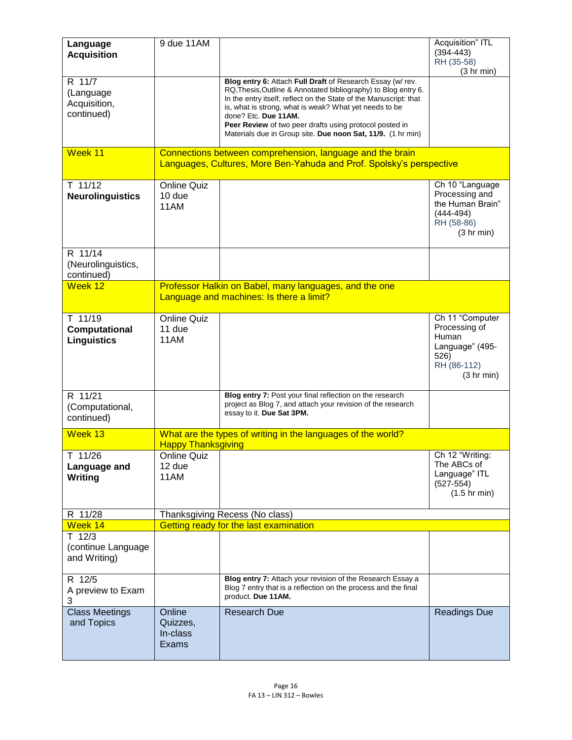| Language<br><b>Acquisition</b>                    | 9 due 11AM                              |                                                                                                                                                                                                                                                                                                                                                                                                              | Acquisition" ITL<br>$(394 - 443)$<br>RH (35-58)<br>(3 hr min)                                      |
|---------------------------------------------------|-----------------------------------------|--------------------------------------------------------------------------------------------------------------------------------------------------------------------------------------------------------------------------------------------------------------------------------------------------------------------------------------------------------------------------------------------------------------|----------------------------------------------------------------------------------------------------|
| R 11/7<br>(Language<br>Acquisition,<br>continued) |                                         | Blog entry 6: Attach Full Draft of Research Essay (w/rev.<br>RQ, Thesis, Outline & Annotated bibliography) to Blog entry 6.<br>In the entry itself, reflect on the State of the Manuscript: that<br>is, what is strong, what is weak? What yet needs to be<br>done? Etc. Due 11AM.<br>Peer Review of two peer drafts using protocol posted in<br>Materials due in Group site. Due noon Sat, 11/9. (1 hr min) |                                                                                                    |
| Week 11                                           |                                         | Connections between comprehension, language and the brain<br>Languages, Cultures, More Ben-Yahuda and Prof. Spolsky's perspective                                                                                                                                                                                                                                                                            |                                                                                                    |
| $T$ 11/12<br><b>Neurolinguistics</b>              | <b>Online Quiz</b><br>10 due<br>11AM    |                                                                                                                                                                                                                                                                                                                                                                                                              | Ch 10 "Language<br>Processing and<br>the Human Brain"<br>$(444 - 494)$<br>RH (58-86)<br>(3 hr min) |
| R 11/14<br>(Neurolinguistics,<br>continued)       |                                         |                                                                                                                                                                                                                                                                                                                                                                                                              |                                                                                                    |
| Week 12                                           |                                         | Professor Halkin on Babel, many languages, and the one<br>Language and machines: Is there a limit?                                                                                                                                                                                                                                                                                                           |                                                                                                    |
| T 11/19<br>Computational<br><b>Linguistics</b>    | <b>Online Quiz</b><br>11 due<br>11AM    |                                                                                                                                                                                                                                                                                                                                                                                                              | Ch 11 "Computer<br>Processing of<br>Human<br>Language" (495-<br>526)<br>RH (86-112)<br>(3 hr min)  |
| R 11/21<br>(Computational,<br>continued)          |                                         | Blog entry 7: Post your final reflection on the research<br>project as Blog 7, and attach your revision of the research<br>essay to it. Due Sat 3PM.                                                                                                                                                                                                                                                         |                                                                                                    |
| Week 13                                           | <b>Happy Thanksgiving</b>               | What are the types of writing in the languages of the world?                                                                                                                                                                                                                                                                                                                                                 |                                                                                                    |
| T 11/26<br>Language and<br>Writing                | Online Quiz  <br>12 due<br>11AM         |                                                                                                                                                                                                                                                                                                                                                                                                              | Ch 12 "Writing:<br>The ABCs of<br>Language" ITL<br>$(527 - 554)$<br>$(1.5 \text{ hr min})$         |
| R 11/28<br>Week 14                                |                                         | Thanksgiving Recess (No class)                                                                                                                                                                                                                                                                                                                                                                               |                                                                                                    |
| $T$ 12/3<br>(continue Language<br>and Writing)    |                                         | Getting ready for the last examination                                                                                                                                                                                                                                                                                                                                                                       |                                                                                                    |
| R 12/5<br>A preview to Exam<br>3                  |                                         | Blog entry 7: Attach your revision of the Research Essay a<br>Blog 7 entry that is a reflection on the process and the final<br>product. Due 11AM.                                                                                                                                                                                                                                                           |                                                                                                    |
| <b>Class Meetings</b><br>and Topics               | Online<br>Quizzes,<br>In-class<br>Exams | <b>Research Due</b>                                                                                                                                                                                                                                                                                                                                                                                          | Readings Due                                                                                       |